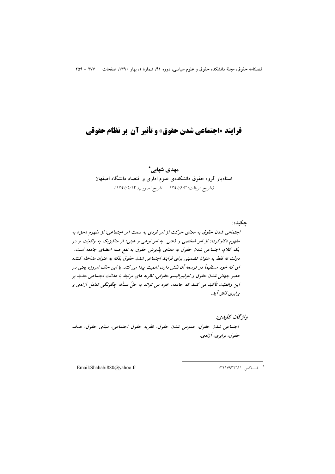# **فرایند «اجتماعی شدن حقوق» و تأثیر آن بر نظام حقوقی**

مهدی شهابے,\* استادیار گروه حقوق دانشکدهی علوم اداری و اقتصاد دانشگاه اصفهان (تاريخ دريافت: ١٣٨٧/٤/٣ - تاريخ تصويب: ١٣٨٧/٦/١٢)

چکیده: اجتماعی شدن حقوق به معنای حرکت از امر فردی به سمت امر اجتماعی؛ از مفهوم «حق» به مفهوم «کارکرد»؛ از امر شخصی و ذهنی به امر نوعی و عینی؛ از متافیزیک به واقعیّت و در یک کلام، اجتماعی شدن حقوق به معنای پذیرش حقوق به نفع همه اعضای جامعه است. دولت نه فقط به عنوان تضمینی برای فرایند اجتماعی شدن حقوق بلکه به عنوان مداخله کننده ای که خود مستقیماً در توسعه آن نقش دارد، اهمیت پیدا می کند. با این حال، امروزه یعنی در عصر جهانی شدن حقوق و نئولیبرالیسم حقوقی، نظریه های مرتبط با عدالت اجتماعی جدید بر این واقعیّت تأکید می کنند که جامعه، خود می تواند به حلّ مسأله چگونگی تعامل آزادی و برابري فائق آيد.

واژگان كليدي: اجتماعی شدن حقوق، عمومی شدن حقوق، نظریه حقوق اجتماعی، مبنای حقوق، هدف حقوق، برابري، آزادي.

Email:Shahabi880@yahoo.fr

\* فساكس: ٣١١٧٩٣٢٦١١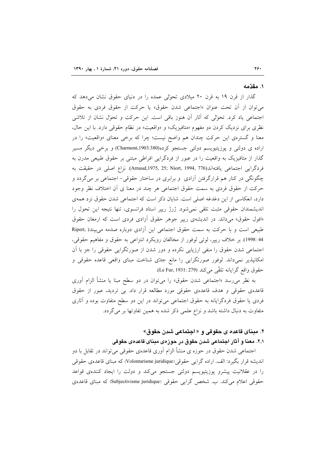#### ١. مقدّمه

گذار از قرن ۱۹ به قرن ۲۰ میلادی تحوّلی عمده را در دنیای حقوق نشان می دهد که می توان از آن تحت عنوان «اجتماعی شدن حقوق» یا حرکت از حقوق فردی به حقوق اجتماعی یاد کرد. تحوّلی که آثار آن هنوز باقی است. این حرکت و تحوّل نشان از تلاشی نظری برای نزدیک کردن دو مفهوم «متافیزیک» و «واقعیت» در نظام حقوقی دارد. با این حال، معنا و گسترهی این حرکت چندان هم واضح نیست؛ چرا که برخی معنای «واقعیت» را در اراده ی دولتی و پوزیتیویسم دولتی جستجو کرده(Charmont,1903:380) و برخی دیگر مسیر گذار از متافیزیک به واقعیت را در عبور از فردگرایی افراطی مبتنی بر حقوق طبیعی مدرن به فردگرایی اجتماعی یافتهاند(Arnaud,1975, 25; Niort, 1994, 776). نزاع اصلی در حقیقت به چگونگی در کنار هم قرارگرفتن اّزادی ًو برابری در ساختار حقوقی– اجتماعی بر میگردد و حرکت از حقوق فردی به سمت حقوق اجتماعی هر چند در معنا ی اَن اختلاف نظر وجود دارد، انعکاسی از این دغدغه اصلی است. شایان ذکر است که اجتماعی شدن حقوق نزد همهی اندیشمندان حقوقی مثبت تلقی نمی شود. ژرژ رییر استاد فرانسوی، تنها نتیجه این تحول را «افول حقوق» می داند. در اندیشهی رییر جوهر حقوق آزادی فردی است که ارمغان حقوق طبیعی است و با حرکت به سمت حقوق اجتماعی این آزادی دوباره صدمه می بیند( Ripert, 44 :1998). بر خلاف ريبر، لوئي لوفور از مخالفان رويكرد انتزاعي به حقوق و مفاهيم حقوقي، اجتماعی شدن حقوق را منفی ارزیابی نکرده و دور شدن از صورتگرایی حقوقی را جز با آن امکانپذیر نمیداند. لوفور صورتگرایی را مانع جدّی شناخت مبنای واقعی قاعده حقوقی و حقوق واقع گرايانه تلقّى مي كند (Le Fur, 1931: 279).

به نظر می٫رسد «اجتماعی شدن حقوق» را میٍتوان در دو سطح مبنا یا منشأ الزام اَوری قاعدهی حقوقی و هدف قاعدهی حقوقی مورد مطالعه قرار داد. بی تردید، عبور از حقوق فردی یا حقوق فردگرایانه به حقوق اجتماعی میتواند در این دو سطح متفاوت بوده و آثاری متفاوت به دنبال داشته باشد و نزاع علمی ذکر شده به همین تفاوتها بر می گردد.

# ۲. مبنای قاعده ی حقوقی و « اجتماعی شدن حقوق»

## ۲٫۱. معنا و آثار اجتماعی شدن حقوق در حوزهی مبنای قاعدهی حقوقی

اجتماعی شدن حقوق در حوزه ی منشأ الزام آوری قاعدهی حقوقی میتواند در تقابل با دو اندیشه قرار بگیرد: الف اراده گرایبی حقوقی(Volontarisme juridique) که مبنای قاعدهی حقوقی را در عقلانیت پیشرو پوزیتیویسم دولتی جستجو میکند و دولت را ایجاد کنندهی قواعد حقوقی اعلام می کند. ب. شخص گرایی حقوقی (Subjectivisme juridique) که مبنای قاعدهی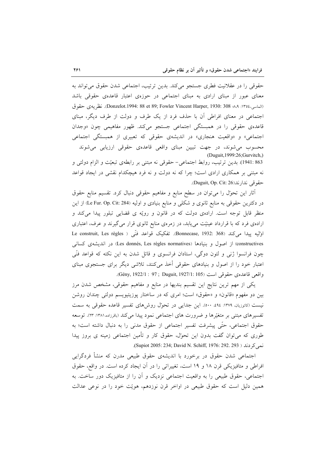حقوقی را در عقلانیت فطری جستجو میکند. بدین ترتیب، اجتماعی شدن حقوق می تواند به معنای عبور از مبنای ارادی به مبنای اجتماعی در حوزهی اعتبار قاعدهی حقوقی باشد (العاسي،١٣٥٤: Donzelot.1994: 88 et 89; Fowler Vincent Harper, 1930: 308 . A . نظر يه ي حقوق اجتماعی در معنای افراطی آن با حذف فرد از یک طرف و دولت از طرف دیگر، مبنای قاعدهی حقوقی را در همبستگی اجتماعی جستجو میکند. ظهور مفاهیمی چون «وجدان اجتماعی» و «واقعیت هنجاری» در اندیشهی حقوقی که تعبیری از همبستگی اجتماعی محسوب میشوند، در جهت تبیین مبنای واقعی قاعدهی حقوقی ارزیابی میشوند (Duguit, 1999:26; Gurvitch,) 863 :1941). بدين ترتيب، روابط اجتماعي- حقوقي نه مبتني بر رابطهي تبعيّت و الزام دولتي و نه مبتنی بر همکاری ارادی است؛ چرا که نه دولت و نه فرد هیچکدام نقشی در ایجاد قواعد حقوقي ندار ند(Duguit, Op. Cit: 26.

أثار این تحوّل را میٍتوان در سطح منابع و مفاهیم حقوقی دنبال کرد. تقسیم منابع حقوق در دکترین حقوقی به منابع ثانوی و شکلی و منابع بنیادی و اولیه (Le Fur. Op. Cit: 284) از این منظر قابل توجه است. ارادهی دولت که در قانون و رویّه ی قضایی تبلور پیدا میکند و اراده یفرد که با قرارداد عینیّت مییابد، در زمرهی منابع ثانوی قرار میگیرند و عرف، اعتباری اوَلِيه پيدا مي كند (368 :Bonnecase, 1932 368). تفكيك قواعد فنّي ( Le construit, Les règles constructives) از اصول و بنیادها (Les donnés, Les règles normatives) در اندیشهی کسانی چون فرانسوا ژنبی و لئون دوگی، استادان فرانسوی و قائل شدن به این نکته که قواعد فنّی اعتبار خود را از اصول و بنیادهای حقوقی أخذ میکنند، تلاشی دیگر برای جستجوی مبنای واقعي قاعدهي حقوقي است (105 :1927/1 : 97 : 97 : 6ény, 1922/1.

یکی از مهم ترین نتایج این تقسیم بندیها در منابع و مفاهیم حقوقی، مشخص شدن مرز بین دو مفهوم «قانون» و «حقوق» است؛ امری که در ساختار پوزیتیویسم دولتی چندان روشن نیست (کاتوزیان، ۱۳۷۹: ۹٤، ۵۰۰). این جدایی در تحول روشهای تفسیر قاعده حقوقی به سمت تفسیرِهای مبتنی بر متغیّرِها و ضرورت های اجتماعی نمود پیدا می کند (باقرزاده،۱۳۸۱: ۲۳). توسعه حقوق اجتماعي، حتَّى ييشرفت تفسير اجتماعي از حقوق مدنى را به دنبال داشته است؛ به طوری که می توان گفت بدون این تحول، حقوق کار و تأمین اجتماعی زمینه ی بروز پیدا نمي كردند ( Supiot 2005: 234; David N. Schiff, 1976: 292. 293).

اجتماعی شدن حقوق در برخورد با اندیشهی حقوق طبیعی مدرن که منشأ فردگرایی افراطی و متافیزیکی قرن ۱۸ و ۱۹ است، تغییراتی را در آن ایجاد کرده است. در واقع، حقوق اجتماعی، حقوق طبیعی را به واقعیت اجتماعی نزدیک و آن را از متافیزیک دور ساخت. به همین دلیل است که حقوق طبیعی در اواخر قرن نوزدهم، هویّت خود را در نوعی عدالت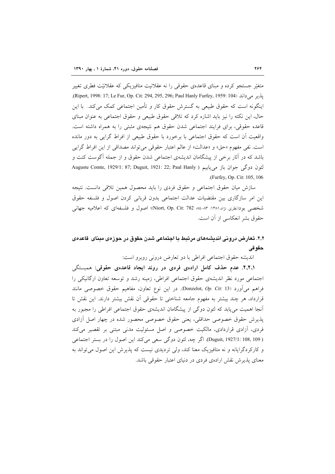متغیّر جستجو کرده و مبنای قاعدهی حقوقی را نه عقلانیت متافیزیکی که عقلانیّت فطری تغییر يلدر مي داند (104 (Ripert, 1998: 17; Le Fur, Op. Cit: 294, 295, 296; Paul Hanly Furfey, 1959: 104). اینگونه است که حقوق طبیعی به گسترش حقوق کار و تأمین اجتماعی کمک میکند. با این حال، این نکته را نیز باید اشاره کرد که تلاقی حقوق طبیعی و حقوق اجتماعی به عنوان مبنای قاعده حقوقي، براي فرايند اجتماعي شدن حقوق هم نتيجهي مثبتي را به همراه داشته است. واقعیت أن است که حقوق اجتماعی با برخورد با حقوق طبیعی از افراط گرایی به دور مانده است. نفي مفهوم «حق» و «عدالت» از عالم اعتبار حقوقي مي تواند مصداقي از اين افراط گرايي باشد که در آثار برخی از پیشگامان اندیشهی اجتماعی شدن حقوق و از جمله آگوست کنت و لئون دوگی جوان باز می یابیم ( Auguste Comte, 1929/1: 87; Duguit, 1921: 22; Paul Hanly .(Furfey, Op. Cit: 105, 106)

سازش میان حقوق اجتماعی و حقوق فردی را باید محصول همین تلاقی دانست. نتیجه این امر سازگاری بین مقتضیات عدالت اجتماعی بدون قربانی کردن اصول و فلسفه حقوق شخصی بود(نظری نژاد،۱۳۸۱: ۸۳-۸۶ Niort, Op. Cit: 782)؛ اصول و فلسفهای که اعلامیه جهانی حقوق بشر انعكاسي از آن است.

# ۲٫۲. تعارض درونی اندیشههای مرتبط با اجتماعی شدن حقوق در حوزهی مبنای قاعدهی حقو قي

انديشه حقوق اجتماعي افراطي با دو تعارض دروني روبرو است:

۲٫۲٫۱. عدم حذف کامل ارادهی فردی در روند ایجاد قاعدهی حقوقی: همبستگی اجتماعی مورد نظر اندیشهی حقوق اجتماعی افراطی، زمینه رشد و توسعه تعاون ارگانیکی را فراهم ميأورد (Donzelot, Op. Cit: 13). در اين نوع تعاون، مفاهيم حقوق خصوصي مانند قرارداد، هر چند بیشتر به مفهوم جامعه شناختی تا حقوقی اَن نقش بیشتر دارند. این نقش تا آنجا اهمیت می یابد که لئون دوگی از پیشگامان اندیشهی حقوق اجتماعی افراطی را مجبور به پذیرش حقوق خصوصی حداقلی، یعنی حقوق خصوصی محصور شده در چهار اصل آزادی فردي، آزادي قراردادي، مالكيت خصوصي و اصل مسئوليت مدني مبتني بر تقصير مي كند ( Duguit, 1927/1: 108, 109). اگر چه، لئون دوگی سعی می کند این اصول را در بستر اجتماعی و کارکردگرایانه و نه متافیزیک معنا کند، ولی تردیدی نیست که پذیرش این اصول می تواند به معنای پذیرش نقش ارادهی فردی در دنیای اعتبار حقوقی باشد.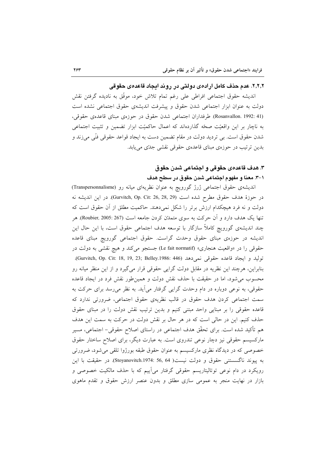#### ٢,٢,٢. عدم حذف كامل ارادهي دولتي در روند ايجاد قاعدهي حقوقي

انديشه حقوق اجتماعي افراطي على رغم تمام تلاش خود، موفَّق به ناديده گرفتن نقش دولت به عنوان ابزار اجتماعی شدن حقوق و پیشرفت اندیشهی حقوق اجتماعی نشده است (Rosanvallon. 1992: 41). طرفداران اجتماعی شدن حقوق در حوزهی مبنای قاعدهی حقوقی، به ناچار بر این واقعیّت صحّه گذاردهاند که اعمال حاکمیّت ابزار تضمین و تثبیت اجتماعی شدن حقوق است. بی تردید دولت در مقام تضمین دست به ایجاد قواعد حقوقی فنّی میزند و بدین ترتیب در حوزهی مبنای قاعدهی حقوقی نقشی جدتی می یابد.

# ٣. هدف قاعدهي حقوقي و اجتماعي شدن حقوق ١-٣. معنا و مفهوم اجتماعي شدن حقوق در سطح هدف

اندیشهی حقوق اجتماعی ژرژ گورویچ به عنوان نظریهای میانه رو (Transpersonnalisme) در حوزهٔ هدف حقوق مطرح شده است (Gurvitch, Op. Cit: 26, 28, 29). در این اندیشه نه دولت و نه فرد هیچکدام ارزش برتر را شکل نمیدهند. حاکمیت مطلق از آن حقوق است که تنها یک هدف دارد و اَن حرکت به سوی متمدّن کردن جامعه است (Roubier, 2005: 267). هر چند اندیشهی گورویچ کاملاً سازگار با توسعه هدف اجتماعی حقوق است، با این حال این اندیشه در حوزهی مبنای حقوق وحدت گراست. حقوق اجتماعی گورویچ مبنای قاعده حقوقی را در «واقعیت هنجاری» (Le fait normatif) جستجو می کند و هیچ نقشی به دولت در توليد و ايجاد قاعده حقوقي نمي دهد (Gurvitch, Op. Cit: 18, 19, 23; Belley.1986: 446). بنابراین، هرچند این نظریه در مقابل دولت گرایی حقوقی قرار می گیرد و از این منظر میانه رو محسوب می شود، اما در حقیقت با حذف نقش دولت و همین طور نقش فرد در ایجاد قاعده حقوقی، به نوعی دوباره در دام وحدت گرایی گرفتار میآید. به نظر می رسد برای حرکت به سمت اجتماعی کردن هدف حقوق در قالب نظریهی حقوق اجتماعی، ضرورتی ندارد که قاعده حقوقی را بر مبنایی واحد مبتنی کنیم و بدین ترتیب نقش دولت را در مبنای حقوق حذف کنیم. این در حالی است که در هر حال بر نقش دولت در حرکت به سمت این هدف هم تأكيد شده است. براي تحقّق هدف اجتماعي در راستاي اصلاح حقوقي– اجتماعي، مسير مارکسیسم حقوقی نیز دچار نوعی تندروی است. به عبارت دیگر، برای اصلاح ساختار حقوق خصوصی که در دیدگاه نظری مارکسیسم به عنوان حقوق طبقه بورژوا تلقی می شود، ضرورتی به پیوند ناگسستنی حقوق و دولت نیست( Stoyanovitch.1974: 56, 64). در حقیقت با این رویکرد در دام نوعی توتالیتاریسم حقوقی گرفتار میآییم که با حذف مالکیت خصوصی و بازار در نهایت منجر به عمومی سازی مطلق و بدون عنصر ارزش حقوق و تقدم ماهوی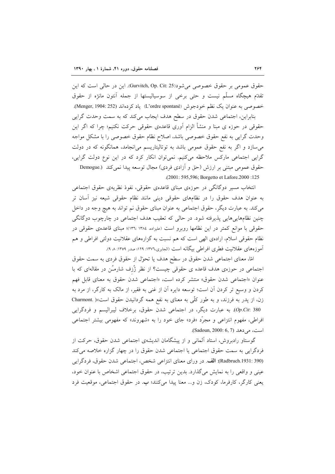حقوق عمومي بر حقوق خصوصي مي شود(Gurvitch, Op. Cit: 25). اين در حالي است كه اين تقدَّم هيچگاه مسلَّم نيست و حتى برخي از سوسياليستها از جمله آنتون مانژه از حقوق خصوصی به عنوان یک نظم خودجوش (L'ordre spontané) یاد کردهاند (Menger, 1904: 252). بنابراین، اجتماعی شدن حقوق در سطح هدف ایجاب میکند که به سمت وحدت گرایی

حقوقی در حوزه ی مبنا و منشأ الزام آوری قاعدهی حقوقی حرکت نکنیم؛ چرا که اگر این وحدت گرایی به نفع حقوق خصوصی باشد، اصلاح نظام حقوق خصوصی را با مشکل مواجه می سازد و اگر به نفع حقوق عمومی باشد به توتالیتاریسم می انجامد، همانگونه که در دولت گرایی اجتماعی مارکس ملاحظه میکنیم. نمیتوان انکار کرد که در این نوع دولت گرایی، حقوق عمومی مبتنی بر ارزش (حق و أزادی فردی) مجال توسعه پیدا نمی کند (.Demogue .(2001: 595,596; Borgetto et Lafore.2000 :125

انتخاب مسیر دوگانگی در حوزهی مبنای قاعدهی حقوقی، نفوذ نظریهی حقوق اجتماعی به عنوان هدف حقوق را در نظامهای حقوقی دینی مانند نظام حقوقی شیعه نیز أسان تر می کند. به عبارت دیگر، حقوق اجتماعی به عنوان مبنای حقوق نم تواند به هیچ وجه در داخل چنین نظامهایی هایی پذیرفته شود. در حالی که تعقیب هدف اجتماعی در چارچوب دوگانگی حقوقی با موانع کمتر در این نظامها روبرو است (علیزاده، ۱۳۸٤ :١٣٦)؛ مبنای قاعدهی حقوقی در نظام حقوقی اسلام، ارادهی الهی است که هم نسبت به گزارههای عقلانیت دولتی افراطی و هم آموزههای عقلانیت فطری افراطی بیگانه است (الجابری،۱۳۷٦: ۱۲۹؛ صدر ۱۳۵۹: ۸ ۹).

امًا، معناي اجتماعي شدن حقوق در سطح هدف يا تحوّل از حقوق فردي به سمت حقوق اجتماعی در حوزهی هدف قاعده ی حقوقی چیست؟ از نظر ژُزف شارمـُن در مقالهای که با عنوان «اجتماعی شدن حقوق» منتشر کرده است، «اجتماعی شدن حقوق به معنای قابل فهم کردن و وسیع تر کردن آن است؛ توسعه دایره آن از غنی به فقیر، از مالک به کارگر، از مرد به زن، از پدر به فرزند، و به طور کلّی به معنای به نفع همه گردانیدن حقوق است»( .Charmont Op.Cit: 380). به عبارت دیگر، در اجتماعی شدن حقوق، برخلاف لیبرالیسم و فردگرایی افراطی، مفهوم انتزاعی و مجرَّد «فرد» جای خود را به «شهروند» که مفهومی بیشتر اجتماعی است، مے دھد (Sadoun, 2000: 6, 7).

گوستاو رادبروش، استاد آلمانی و از پیشگامان اندیشهی اجتماعی شدن حقوق، حرکت از فردگرايي به سمت حقوق اجتماعي يا اجتماعي شدن حقوق را در چهار گزاره خلاصه مي كند (Radbruch.1931: 390): الف. در وراي معناي انتزاعي شخص، اجتماعي شدن حقوق، فردگرايي عینی و واقعی را به نمایش میگذارد. بدین ترتیب، در حقوق اجتماعی اشخاص با عنوان خود، يعني كارگر، كارفرما، كودك، زن و... معنا پيدا مي كنند؛ ب. در حقوق اجتماعي، موقعيت فرد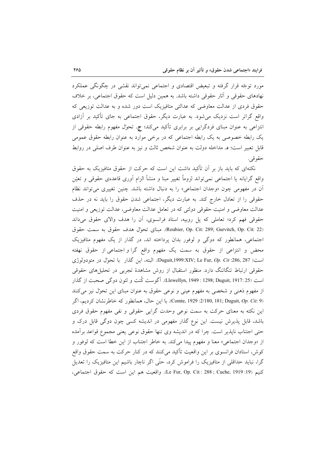مورد توجّه قرار گرفته و تبعیض اقتصادی و اجتماعی نمیٍتواند نقشی در چگونگی عملکرد نهادهای حقوقی و آثار حقوقی داشته باشد. به همین دلیل است که حقوق اجتماعی، بر خلاف حقوق فردی از عدالت معاوضی که عدالتی متافیزیک است دور شده و به عدالت توزیعی که واقع گراتر است نزدیک می شود. به عبارت دیگر، حقوق اجتماعی به جای تأکید بر آزادی انتزاعی به عنوان مبنای فردگرایی بر برابری تأکید میکند؛ ج. تحول مفهوم رابطه حقوقی از یک رابطه خصوصی به یک رابطه اجتماعی که در برخی موارد به عنوان رابطه حقوق عمومی قابل تعبير است؛ د. مداخله دولت به عنوان شخص ثالث و نيز به عنوان طرف اصلي در روابط حقو قبي.

نکتهای که باید باز بر آن تأکید داشت این است که حرکت از حقوق متافیزیک به حقوق واقع گرایانه یا اجتماعی نمیٍتواند لزوماً تغییر مبنا و منشأ الزام آوری قاعدهی حقوقی و تعیّن آن در مفهومي چون «وجدان اجتماعي» را به دنبال داشته باشد. چنين تغييري مي تواند نظام حقوقی را از تعادل خارج کند. به عبارت دیگر، اجتماعی شدن حقوق را باید نه در حذف عدالت معاوضی و امنیت حقوقی دولتی که در تعامل عدالت معاوضی، عدالت توزیعی و امنیت حقوقی فهم کرد؛ تعاملی که پل روبیه، استاد فرانسوی، آن را هدف والای حقوق میداند (Roubier, Op. Cit: 289; Gurvitch, Op. Cit: 22). مبناى تحوّل هدف حقوق به سمت حقوق اجتماعی، همانطور که دوگی و لوفور بدان پرداخته اند، در گذار از یک مفهوم متافیزیک محض و انتزاعی از حقوق به سمت یک مفهوم واقع گرا و اجتماعی از حقوق نهفته است ( Duguit,1999:XIV; Le Fur, Op. Cit :286, 287). البته، اين گذار با تحوّل در متودولوژى حقوقی ارتباط تنگاتنگ دارد. منظور استقبال از روش مشاهدهٔ تجربی در تحلیل های حقوقی است (Llewellyn, 1949 : 1298; Duguit, 1917: 25). آگوست کُنت و لئون دو گی صحبت از گذار از مفهوم ذهنی و شخصی به مفهوم عینی و نوعی حقوق به عنوان مبنای این تحوّل نیز میکنند (Comte, 1929 :2/180, 181; Duguit, Op. Cit: 9). با این حال، همانطور که خاطرنشان کردیم، اگر این نکته به معنای حرکت به سمت نوعی وحدت گرایی حقوقی و نفی مفهوم حقوق فردی باشد، قابل پذیرش نیست. این نوع گذار مفهومی در اندیشه کسی چون دوگی قابل درک و حتی اجتناب ناپذیر است. چرا که در اندیشه وی تنها حقوق نوعی یعنی مجموع قواعد برآمده از «وجدان اجتماعي» معنا و مفهوم ييدا مي كند. به خاطر اجتناب از اين خطا است كه لوفور و کوش، استادان فرانسوی بر این واقعیت تأکید می کنند که در کنار حرکت به سمت حقوق واقع گرا، نباید حداقلی از متافیزیک را فراموش کرد، حتّی اگر ناچار باشیم این متافیزیک را تعدیل كنيم (Le Fur, Op. Cit : 288 ; Cuche, 1919 :19). واقعيت هم اين است كه حقوق اجتماعي،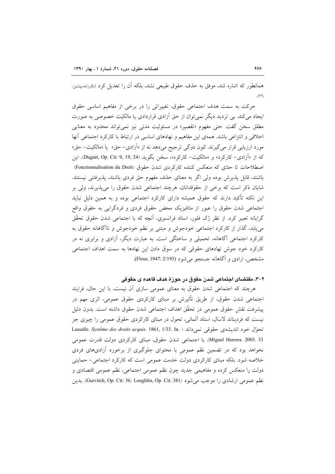همانطور که اشاره شد، موفق به حذف حقوق طبیعی نشد، بلکه آن را تعدیل کرد (باقرزاده،پیشین:  $(\Upsilon)$ 

حرکت به سمت هدف اجتماعی حقوق، تغییراتی را در برخی از مفاهیم اساسی حقوق ایجاد می کند. بی تردید دیگر نمی توان از حق آزادی قراردادی یا مالکیت خصوصی به صورت مطلق سخن گفت. حتی مفهوم «تقصیر» در مسئولیت مدنی نیز نمی تواند محدود به معنایی اخلاقی و انتزاعی باشد. همهی این مفاهیم و نهادهای اساسی در ارتباط با کارکرد اجتماعی آنها مورد ارزیابی قرار میگیرند. لئون دوگی ترجیح میدهد نه از «آزادی- حق» یا «مالکیت- حق» که از «آزادی- کارکرد» و «مالکیت- کارکرد»، سخن بگوید (Duguit, Op. Cit: 9, 19, 24). این اصطلاحات تا حدّی که منعکس کننده کارکردی شدن حقوق (Fonctionnalisation du Droit) باشند، قابل پذیرش بوده ولی اگر به معنای حذف مفهوم حق فردی باشند، پذیرفتنی نیستند. شایان ذکر است که برخی از حقوقدانان، هرچند اجتماعی شدن حقوق را می پذیرند، ولی بر این نکته تأکید دارند که حقوق همیشه دارای کارکرد اجتماعی بوده و به همین دلیل نباید اجتماعی شدن حقوق را عبور از متافیزیک محض حقوق فردی و فردگرایی به حقوق واقع گرایانه تعبیر کرد. از نظر ژک فلور، استاد فرانسوی، آنچه که با اجتماعی شدن حقوق تحقّق می یابد، گذار از کارکرد اجتماعی خودجوش و مبتنی بر نظم خودجوش و ناآگاهانه حقوق به کارکرد اجتماعی آگاهانه، تحمیلی و ساختگی است. به عبارت دیگر، آزادی و برابری نه در کارکرد خود جوش نهادهای حقوقی که در سوق دادن این نهادها به سمت اهداف اجتماعی مشخص، ارادي و آگاهانه جستجو مي شود (Flour, 1947: 2/193).

## ۲-۳. مقتضای اجتماعی شدن حقوق در حوزهٔ هدف قاعده ی حقوقی

هرچند که اجتماعی شدن حقوق به معنای عمومی سازی آن نیست، با این حال، فرایند اجتماعی شدن حقوق، از طریق تأثیرش بر مبنای کارکردی حقوق عمومی، اثری مهم در ييشرفت نقش حقوق عمومي در تحقّق اهداف اجتماعي شدن حقوق داشته است. بدون دليل نیست که فردیناند لاسال، استاد آلمانی، تحول در مبنای کارکردی حقوق عمومی را چیزی جز Lassalle. Système des droits acquis. 1861, 1/33. In. ) لنحول خود انديشهي حقوقي نمي داند Miguel Herrera. 2003. 33). با اجتماعی شدن حقوق، مبنای کارکردی دولت قدرت عمومی نخواهد بود که در تضمین نظم عمومی با محتوای جلوگیری از برخورد آزادیهای فردی خلاصه شود. بلکه مبنای کارکردی دولت خدمت عمومی است که کارکرد اجتماعی- حمایتی دولت را منعکس کرده و مفاهیمی جدید چون نظم عمومی اجتماعی، نظم عمومی اقتصادی و نظم عمومی ارشادی را موجب می شود (Gurvitch, Op. Cit: 36; Loughlin, Op. Cit: 381). بدین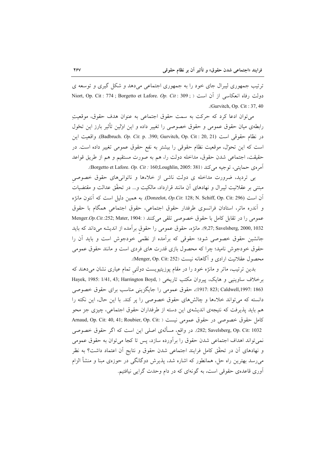ترتیب جمهوری لیبرال جای خود را به جمهوری اجتماعی میدهد و شکل گیری و توسعه ی Niort, Op. Cit : 774 ; Borgetto et Lafore. Op. Cit : 309 ; ) ادولت رفاه انعكاسی از آن است ( .(Gurvitch, Op. Cit:  $37,40$ 

مي توان ادعا كرد كه حركت به سمت حقوق اجتماعي به عنوان هدف حقوق، موقعيت رابطهی میان حقوق عمومی و حقوق خصوصی را تغییر داده و این اولین تأثیر بارز این تحول در نظام حقوقی است (Badbruch. Op. Cit. p. .390; Gurvitch, Op. Cit : 20, 21). واقعیت این است که این تحوّل، موقعیت نظام حقوقی را بیشتر به نفع حقوق عمومی تغییر داده است. در حقيقت، اجتماعي شدن حقوق، مداخله دولت را، هم به صورت مستقيم و هم از طريق قواعد آمرەي حىمايتى، توجيە مى كند (Borgetto et Lafore. *Op. Cit :* 160;Loughlin, 2005: 381.

بی تردید، ضرورت مداخله ی دولت ناشی از خلاءها و ناتوانی های حقوق خصوصی مبتنی بر عقلانیت لیبرال و نهادهای آن مانند قرارداد، مالکیت و… در تحقّق عدالت و مقتضیات ان است كه آنتون مانژه) Donzelot, Op.Cit: 128; N. Schiff, Op. Cit: 296). به همين دليل است كه آنتون مانژه و أندره ماتر، استادان فرانسوي طرفدار حقوق اجتماعي، حقوق اجتماعي همگام با حقوق عمومی را در تقابل کامل با حقوق خصوصی تلقی میکنند ( :Menger.Op.Cit.:252; Mater, 1904 9,27; Savelsberg, 2000, 1032). مانژه، حقوق عمومی را حقوق برآمده از اندیشه می داند که باید جانشین حقوق خصوصی شود؛ حقوقی که برآمده از نظمی خودجوش است و باید آن را حقوق خودجوش نامید؛ چرا که محصول بازی قدرت های فردی است و مانند حقوق عمومی محصول عقلانيت ارادي و آگاهانه نيست (Menger, Op. Cit: 252).

بدین ترتیب، ماتر و مانژه خود را در مقام پوزیتیویست دولتی تمام عیاری نشان میدهند که برخلاف ساوينيي و هايک، پيروان مکتب تاريخي ( ,Hayek, 1985: 1/41, 43; Harrington Boyd 863 :23 (Caldwell,1997 ): 323 :1917)، حقوق عمومي را جايگزيني مناسب براي حقوق خصوصي دانسته که می تواند خلاءها و چالشهای حقوق خصوصی را پر کند. با این حال، این نکته را هم باید پذیرفت که نتیجهی اندیشهی این دسته از طرفداران حقوق اجتماعی، چیزی جز محو كامل حقوق خصوصي در حقوق عمومي نيست ( :Arnaud, Op. Cit: 40, 41; Roubier, Op. Cit 282; Savelsberg, Op. Cit: 1032. در واقع، مسألهي اصلي اين است كه اگر حقوق خصوصي نمی تواند اهداف اجتماعی شدن حقوق را برآورده سازد، پس تا کجا می توان به حقوق عمومی و نهادهای آن در تحقّق کامل فرایند اجتماعی شدن حقوق و نتایج آن اعتماد داشت؟ به نظر می رسد بهترین راه حل، همانطور که اشاره شد، پذیرش دوگانگی در حوزهی مبنا و منشأ الزام آوری قاعدهی حقوقی است، به گونهای که در دام وحدت گرایی نیافتیم.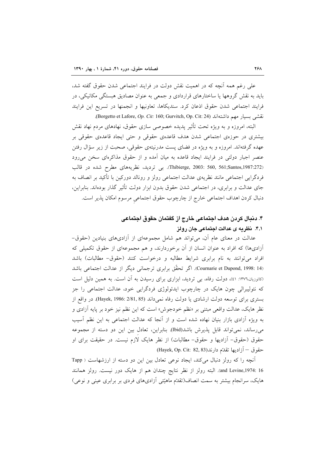علی رغم همه اّنچه که در اهمیت نقش دولت در فرایند اجتماعی شدن حقوق گفته شد، باید به نقش گروهها یا ساختارهای قراردادی و جمعی به عنوان مصادیق هبستگی مکانیکی، در فرایند اجتماعی شدن حقوق اذعان کرد. سندیکاها، تعاونیها و انجمنها در تسریع این فرایند نقشى بسيار مهم داشتهاند (Borgetto et Lafore, Op. Cit: 160; Gurvitch, Op. Cit: 24).

البته، امروزه و به ویژه تحت تأثیر پدیده خصوصی سازی حقوق، نهادهای مردم نهاد نقش بیشتری در حوزهی اجتماعی شدن هدف قاعدهی حقوقی و حتی ایجاد قاعدهی حقوقی بر عهده گرفتهاند. امروزه و به ویژه در فضای پست مدرنیتهی حقوقی، صحبت از زیر سؤال رفتن عنصر اجبار دولتی در فرایند ایجاد قاعده به میان آمده و از حقوق مذاکرهای سخن می رود (Thibierge, 2003: 560, 561;Santos,1987:272). بی تردید، نظریههای مطرح شده در قالب فردگرایی اجتماعی مانند نظریهی عدالت اجتماعی رولز و رونالد دورکین با تأکید بر انصاف به جای عدالت و برابری، در اجتماعی شدن حقوق بدون ابزار دولت تأثیر گذار بودهاند. بنابراین، دنبال كردن اهداف اجتماعي خارج از چارچوب حقوق اجتماعي مرسوم امكان پذير است.

# ۴. دنبال کردن هدف اجتماعی خارج از گفتمان حقوق اجتماعی ۴٫۱. نظریه ی عدالت اجتماعی جان رولز

عدالت در معنای عام آن، میتواند هم شامل مجموعهای از آزادیهای بنیادین (حقوق-أزادیها) که افراد به عنوان انسان از أن برخوردارند، و هم مجموعهای از حقوق تکمیلی که افراد میتوانند به نام برابری شرایط مطالبه و درخواست کنند (حقوق- مطالبات) باشد (Cournarie et Dupond, 1998: 14). اگر تحقّق برابری ترجمانی دیگر از عدالت اجتماعی باشد (کاتوزیان،١٣٧٦: ٤١)، دولت رفاه، بی تردید، ابزاری برای رسیدن به آن است. به همین دلیل است که نئولیبرالی چون هایک در چارچوب ایدئولوژی فردگرایی خود، عدالت اجتماعی را جز بستري براي توسعه دولت ارشادي يا دولت رفاه نمي داند (Hayek, 1986: 2/81, 85). در واقع از نظر هایک، عدالت واقعی مبتنی بر «نظم خودجوش» است که این نظم نیز خود بر پایه آزادی و به ویژه آزادی بازار بنیان نهاده شده است و از آنجا که عدالت اجتماعی به این نظم آسیب می رساند، نمی تواند قابل پذیرش باشد(Ibid). بنابراین، تعادل بین این دو دسته از مجموعه حقوق (حقوق- آزادیها و حقوق- مطالبات) از نظر هایک لازم نیست. در حقیقت برای او حقوق – آزاديها تقدّم دارند(Hayek, Op. Cit: 82, 83)

آنچه را که رولز دنبال میکند، ایجاد نوعی تعادل بین این دو دسته از ارزشهاست ( Tapp and Levine,1974: 16). البته رولز از نظر نتايج چندان هم از هايک دور نيست. رولز همانند هایک، سرانجام بیشتر به سمت انصاف(تقدّم ماهیّتی آزادیهای فردی بر برابری عینی و نوعی)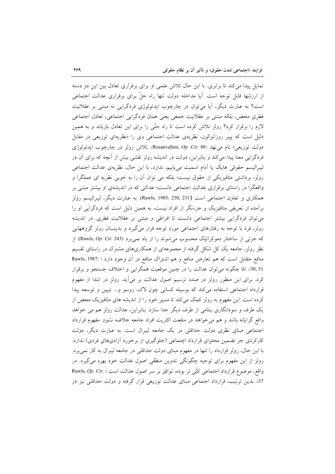تمایل پیدا می کند تا برابری. با این حال تلاش علمی او برای برقراری تعادل بین این دو دسته از ارزشها قابل توجه است. آیا مداخله دولت تنها راه حلٌّ برای برقراری عدالت اجتماعی است؟ به عبارت دیگر، آیا میتوان در چارچوب ایدئولوژی فردگرایی نه مبتنی بر عقلانیت فطری محض، بلکه مبتنی بر عقلانیت جمعی یعنی همان فردگرایی اجتماعی، تعادل اجتماعی لازم را برقرار کرد؟ رولز تلاش کرده است تا راه حلَّمی را برای این تعادل بازیابد و به همین دلیل است که پییر روزانوالون، نظریهی عدالت اجتماعی وی را «نظریهای توزیعی در مقابل دولت توزیعی» نام می نهد (Rosanvallon, Op. Cit: 88). تلاش رولز در چارچوب ایدئولوژی فردگرایی معنا پیدا میکند و بنابراین، دولت در اندیشه رولز نقشی بیش از آنچه که برای آن در لیبرالیسم حقوقی هایک یا ادام اسمیت میbبابیم، ندارد. با این حال، نظریهی عدالت اجتماعی رولز، برداشتی متافیزیکی از حقوق نیست؛ بلکه می توان آن را به خوبی نظریه ای عملگرا و واقعگرا در راستای برقراری عدالت اجتماعی دانست؛ عدالتی که در اندیشهی او بیشتر مبتنی بر همکاری و تعاون اجتماعی است (Rawls, 1985: 230, 231). به عبارت دیگر، لیبرالیسم رولز برآمده از تعریفی متافیزیک و جزءنگر از افراد نیست، به همین دلیل است که فردگرایی او را می توان فردگرایی بیشتر اجتماعی دانست تا افراطی و مبتنی بر عقلانیت فطری. در اندیشه رولز، فرد با توجه به رفتارهای اجتماعی مورد توجه قرار میگیرد و بدینسان رولز گروههایی كه جزئي از ساختار دموكراتيك محسوب مي شوند را از ياد نمي برد (Rawls, Op. Cit: 243). از نظر رولز، جامعه یک کل شکل گرفته از مجموعهای از همکاریهای مشترک در راستای تقسیم منافع متقابل است که هم تعارض منافع و هم اشتراک منافع در آن وجود دارد ( :Rawls, 1987 30,31). امّا چگونه می توان عدالت را در چنین موقعیت همگرایی و اختلاف جستجو و برقرار کرد. برای این منظور رولز در صدد ترسیم اصول عدالت بر میآید. رولز در ابتدا از مفهوم قرارداد اجتماعی استفاده می کند که بوسیله کسانی چون لاک، روسو و... تبیین و توسعه پیدا کرده است. این مفهوم به رولز کمک میکند تا مسیر خود را از اندیشه های متافیزیک محض از یک طرف و سودانگاری بنتامی از طرف دیگر جدا سازد. بنابراین، عدالت رولز هم می خواهد واقع گرایانه باشد و هم می خواهد در منفعت اکثریت افراد جامعه خلاصه نشود. مفهوم قرارداد اجتماعی مبنای نظری دولت حداقلی در یک جامعه لیبرال است. به عبارت دیگر، دولت کارکردی جز تضمین محتوای قرارداد اچتماعی (جلوگیری از برخورد آزادیهای فردی) ندارد. با این حال، رولز قرارداد را تنها در مفهوم مبنای دولت حداقلی در جامعه لیبرال به کار نمیبرد. رولز از این مفهوم برای توجیه چگونگی تدوین منطقی اصول عدالت خود بهره می گیرد. در واقع، موضوع قرارداد اجتماعی کلّی تر بوده، توافق بر سر اصول عدالت است ( :Rawls, Op. Cit 37. بدین ترتیب، قرارداد اجتماعی مبنای عدالت توزیعی قرار گرفته و دولت حداقلی نیز در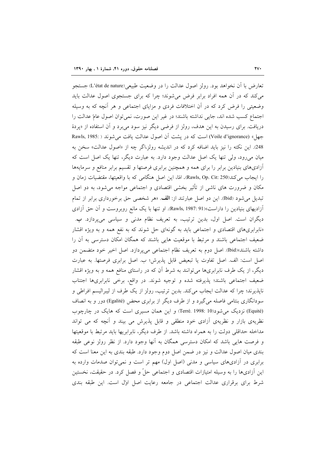تعارض با آن نخواهد بود. رولز اصول عدالت را در وضعیت طبیعی(L'état de nature) جستجو می کند که در آن همه افراد برابر فرض می شوند؛ چرا که برای جستجوی اصول عدالت باید وضعیتی را فرض کرد که در أن اختلافات فردی و مزایای اجتماعی و هر أنچه که به وسیله اجتماع كسب شده اند، جايي نداشته باشند؛ در غير اين صورت، نمي توان اصول عامّ عدالت را دریافت. برای رسیدن به این هدف، رولز از فرضی دیگر نیز سود میبرد و آن استفاده از «پردهٔ جهل» (Voile d'ignorance) است كه در پشت آن اصول عدالت يافت مي شوند ( :Rawls, 1985 248. این نکته را نیز باید اضافه کرد که در اندیشه رولز،اگر چه از «اصول عدالت» سخن به میان میرود، ولی تنها یک اصل عدالت وجود دارد. به عبارت دیگر، تنها یک اصل است که أزادیهای بنیادین برابر را برای همه و همچنین برابری فرصتها و تقسیم برابر منافع و سرمایهها را ايجاب مي كند(Rawls, Op. Cit: 250). امّا، اين اصل هنگامي كه با واقعيتها، مقتضيات زمان و مکان و ضرورت های ناشی از تأثیر بخشی اقتصادی و اجتماعی مواجه می شود، به دو اصل تبدیل می شود (Ibid). این دو اصل عبارتند از: الف. «هر شخصی حق برخورداری برابر از تمام آزادیهای بنیادین را داراست»(Rawls, 1987: 91). او تنها با یک مانع روبروست و آن حق آزادی دیگران است. اصل اول، بدین ترتیب، به تعریف نظام مدنی و سیاسی میپردازد. ب. «نابرابریهای اقتصادی و اجتماعی باید به گونهای حل شوند که به نفع همه و به ویژه اقشار ضعیف اجتماعی باشند و مرتبط با موقعیت هایی باشند که همگان امکان دسترسی به آن را داشته باشند»(Ibid) اصل دوم به تعريف نظام اجتماعي مي يردازد. اصل اخير خود متضمن دو اصل است: الف اصل تفاوت يا تبعيض قابل پذيرش؛ ب اصل برابري فرصتها. به عبارت دیگر، از یک طرف نابرابریها می توانند به شرط آن که در راستای منافع همه و به ویژه اقشار ضعيف اجتماعي باشند؛ پذيرفته شده و توجيه شوند. در واقع، برخي نابرابرىها اجتناب ناپذیرند؛ چرا که عدالت ایجاب میکند. بدین ترتیب، رولز از یک طرف از لیبرالیسم افراطی و سودانگاری بنتامی فاصله میگیرد و از طرف دیگر از برابری محض (Egalité) دور و به انصاف (Equité) نزدیک می شود(Terré. 1998: 10) و این همان مسیری است که هایک در چارچوب نظریهی بازار و نظریهی آزادی خود منطقی و قابل پذیرش می بیند و آنچه که می تواند مداخله حداقلی دولت را به همراه داشته باشد. از طرف دیگر، نابرابریها باید مرتبط با موقعیتها و فرصت هایی باشد که امکان دسترسی همگان به آنها وجود دارد. از نظر رولز نوعی طبقه بندی میان اصول عدالت و نیز در ضمن اصل دوم وجود دارد. طبقه بندی به این معنا است که برابری در آزادیهای سیاسی و مدنی (اصل اول) مهم تر است و نمی توان صدمات وارده به این آزادیها را به وسیله امتیازات اقتصادی و اجتماعی حلّ و فصل کرد. در حقیقت، نخستین شرط برای برقراری عدالت اجتماعی در جامعه رعایت اصل اول است. این طبقه بندی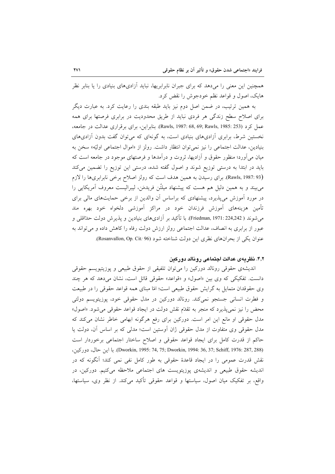همچنین این معنی را میدهد که برای جبران نابرابریها، نباید آزادیهای بنیادی را یا بنابر نظر هايک، اصول و قواعد نظم خودجوش را نقض کرد.

به همین ترتیب، در ضمن اصل دوم نیز باید طبقه بندی را رعایت کرد. به عبارت دیگر برای اصلاح سطح زندگی هر فردی نباید از طریق محدودیت در برابری فرصتها برای همه عمل كرد (Rawls, 1987: 68, 69; Rawls, 1985: 253). بنابراين، براي برقراري عدالت در جامعه، نخستین شرط، برابری آزادیهای بنیادی است، به گونهای که میتوان گفت بدون آزادیهای بنيادين، عدالت اجتماعي را نيز نمي توان انتظار داشت. رولز از «اموال اجتماعي اوليّه» سخن به میان می آورد؛ منظور حقوق و آزادیها، ثروت و درآمدها و فرصتهای موجود در جامعه است که باید در ابتدا به درستی توزیع شوند و اصول گفته شده، درستی این توزیع را تضمین میکند (Rawls, 1987: 93). براي رسيدن به همين هدف است كه رولز اصلاح برخي نابرابريها را لازم می بیند و به همین دلیل هم هست که پیشنهاد میلتُن فریدمَن، لیبرالیست معروف آمریکایی را در مورد اَموزش میپذیرد، پیشنهادی که براساس اَن والدین از برخی حمایتهای مالی برای تأمین هزینههای آموزش فرزندان خود در مراکز آموزشی دلخواه خود بهره مند میشوند ( Friedman, 1971: 224,242). با تأکید بر آزادیهای بنیادین و پذیرش دولت حدّاقلی و عبور از برابری به انصاف، عدالت اجتماعی رولز ارزش دولت رفاه را کاهش داده و می تواند به عنوان یکی از بحرانهای نظری این دولت شناخته شود (Rosanvallon, Op. Cit: 96).

### ۴٫۲. نظریهی عدالت اجتماعی رونالد دورکین

اندیشهی حقوقی رونالد دورکین را می توان تلفیقی از حقوق طبیعی و پوزیتیویسم حقوقی دانست. تفکیکی که وی بین «اصول» و «قواعد» حقوقی قائل است، نشان میدهد که هر چند وی حقوقدان متمایل به گرایش حقوق طبیعی است؛ امّا مبنای همه قواعد حقوقی را در طبیعت و فطرت انسانی جستجو نمی کند. رونالد دورکین در مدل حقوقی خود، پوزیتویسم دولتی محض را نیز نمیپذیرد که منجر به تقدّم نقش دولت در ایجاد قواعد حقوقی میشود. «اصول» مدل حقوقی او مانع این امر است. دورکین برای رفع هرگونه ابهامی خاطر نشان میکند که مدل حقوقی وی متفاوت از مدل حقوقی ژان آوستین است؛ مدلی که بر اساس آن، دولت یا حاکم از قدرت کامل برای ایجاد قواعد حقوقی و اصلاح ساختار اجتماعی برخوردار است (Dworkin, 1995: 74, 75; Dworkin, 1994: 36, 37; Schiff, 1976: 287, 288). با اين حال، دوركين، نقش قدرت عمومی را در ایجاد قاعدهٔ حقوقی به طور کامل نفی نمی کند؛ آنگونه که در اندیشه حقوق طبیعی و اندیشهی پوزیتویست های اجتماعی ملاحظه میکنیم. دورکین، در واقع، بر تفكيك ميان اصول، سياستها و قواعد حقوقي تأكيد ميكند. از نظر وي، سياستها،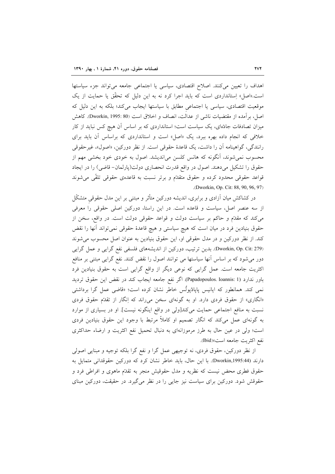اهداف را تعیین می کنند. اصلاح اقتصادی، سیاسی یا اجتماعی جامعه می تواند جزء سیاستها است.«اصل» اِستانداردی است که باید اجرا کرد نه به این دلیل که تحقّق یا حمایت از یک موقعیت اقتصادی، سیاسی یا اجتماعی مطابق با سیاستها ایجاب میکند؛ بلکه به این دلیل که اصل، برآمده از مقتضیات ناشبی از عدالت، انصاف و اخلاق است (Dworkin, 1995: 80). كاهش میزان تصادفات جادّهای، یک سیاست است؛ استانداردی که بر اساس آن هیچ کس نباید از کار خلافی که انجام داده بهره ببرد، یک «اصل» است و استانداردی که براساس آن باید برای رانندگی، گواهینامه آن را داشت، یک قاعدهٔ حقوقی است. از نظر دورکین، «اصول»، غیرحقوقی محسوب نمی شوند، آنگونه که هانس کلسن می|ندیشد. اصول به خودی خود بخشی مهم از حقوق را تشکیل میدهند. اصول در واقع قدرت انحصاری دولت(پارلمان-قاضی) را در ایجاد قواعد حقوقی محدود کرده و حقوق متقدّم و برتر نسبت به قاعدهی حقوقی تلقّی میشوند .(Dworkin, Op. Cit: 88, 90, 96, 97)

در کشاکش میان آزادی و برابری، اندیشه دورکین متأثر و مبتنی بر این مدل حقوقی متشکّل از سه عنصر اصل، سیاست و قاعده است. در این راستا، دورکین اصلی حقوقی را معرفی می کند که مقدّم و حاکم بر سیاست دولت و قواعد حقوقی دولت است. در واقع، سخن از حقوق بنیادین فرد در میان است که هیچ سیاستی و هیچ قاعدهٔ حقوقی نمی تواند آنها را نقض کند. از نظر دورکین و در مدل حقوقی او، این حقوق بنیادین به عنوان اصل محسوب می شوند (Dworkin, Op. Cit: 279). بدین ترتیب، دورکین از اندیشههای فلسفی نفع گرایی و عمل گرایی دور میشود که بر اساس آنها سیاستها می توانند اصول را نقض کنند. نفع گرایی مبتنی بر منافع اکثریت جامعه است. عمل گرایی که نوعی دیگر از واقع گرایی است به حقوق بنیادین فرد باور ندارد (Papadopoulos. Ioannis: 1). اگر نفع جامعه ايجاب كند در نقض اين حقوق ترديد نمی کند. همانطور که ایانیس پایادٔیولُس خاطر نشان کرده است؛ «قاضی عمل گرا برداشتی «انگاری» از حقوق فردی دارد. او به گونهای سخن می راند که اِنگار از تقدّم حقوق فردی نسبت به منافع اجتماعی حمایت میکند[ولی در واقع اینگونه نیست]. او در بسیاری از موارد به گونهای عمل میکند که انگار تصمیم او کاملاً مرتبط با وجود این حقوق بنیادین فردی است؛ ولي در عين حال به طرز مرموزانهاي به دنبال تحميل نفع اكثريت و ارضاء حداكثري نفع اكثريت جامعه است»(Ibid).

از نظر دورکین، حقوق فردی، نه توجیهی عمل گرا و نفع گرا بلکه توجیه و مبنایی اصولی دارند (Dworkin,1995:44). با این حال، باید خاطر نشان کرد که دورکین حقوقدانی متمایل به حقوق فطری محض نیست که نظریه و مدل حقوقیش منجر به تقدّم ماهوی و افراطی فرد و حقوقش شود. دورکین برای سیاست نیز جایی را در نظر می گیرد. در حقیقت، دورکین مبنای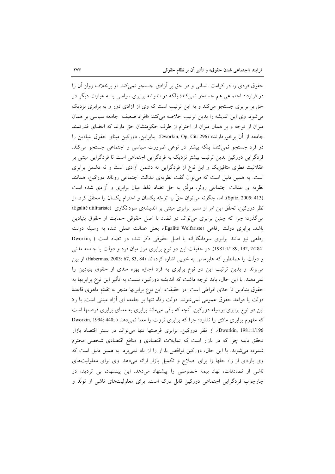حقوق فردی را در کرامت انسانی و در حق بر اَزادی جستجو نمی کند. او برخلاف رولز اَن را در قرارداد اجتماعی هم جستجو نمی کند؛ بلکه در اندیشه برابری سیاسی یا به عبارت دیگر در حق بر برابری جستجو میکند و به این ترتیب است که وی از آزادی دور و به برابری نزدیک می شود. وی این اندیشه را بدین ترتیب خلاصه میکند: «افراد ضعیف جامعه سیاسی بر همان میزان از توجه و بر همان میزان از احترام از طرف حکومتشان حق دارند که اعضای قدرتمند جامعه از آن برخوردارند» (Dworkin, Op. Cit: 296). بنابراین، دورکین مبنای حقوق بنیادین را در فرد جستجو نمی کند؛ بلکه بیشتر در نوعی ضرورت سیاسی و اجتماعی جستجو می کند. فردگرایی دورکین بدین ترتیب بیشتر نزدیک به فردگرایی اجتماعی است تا فردگرایی مبتنی بر عقلانیت فطری متافیزیک و این نوع از فردگرایی نه دشمن آزادی است و نه دشمن برابری است. به همین دلیل است که می توان گفت نظریهی عدالت اجتماعی رونالد دورکین، همانند نظریه ی عدالت اجتماعی رولز، موفَّق به حل تضاد غلط میان برابری و آزادی شده است (Spitz, 2005: 413). اما، چگونه می توان حقٌّ بر توجّه یکسان و احترام یکسان را محقّق کرد. از نظر دورکین، تحقّق این امر از مسیر برابری مبتنی بر اندیشهی سودانگاری (Egalité utilitariste) میگذرد؛ چرا که چنین برابری میٍتواند در تضاد با اصل حقوقی حمایت از حقوق بنیادین باشد. برابری دولت رفاهی (Egalité Welfariste، یعنی عدالت عملی شده به وسیله دولت رفاهی نیز مانند برابری سودانگارانه با اصل حقوقی ذکر شده در تضاد است ( Dworkin, 192, 2/284 ,1981:1/189). در حقیقت این دو نوع برابری مرز میان فرد و دولت یا جامعه مدنی و دولت را همانطور که هابرماس به خوبی اشاره کردهاند (67, 83, 84) Habermas, 2003: 67, 83, 84) از بین می برند و بدین ترتیب این دو نوع برابری به فرد اجازه بهره مندی از حقوق بنیادین را نمی،دهند. با این حال، باید توجه داشت که اندیشه دورکین، نسبت به تأثیر این نوع برابریها به حقوق بنيادين تا حدّى افراطي است. در حقيقت، اين نوع برابريها منجر به تقدّم ماهوى قاعدة دولت یا قواعد حقوق عمومی نمی شوند. دولت رفاه تنها بر جامعه ای آزاد مبتنی است. با ردّ این دو نوع برابری بوسیله دورکین، آنچه که باقی میماند برابری به معنای برابری فرصتها است که مفهوم برابری مادّی را ندارد؛ چرا که برابری ثروت را معنا نمی دهد ( Dworkin, 1994: 440; Dworkin, 1981:1/196. از نظر دورکین، برابری فرصتها تنها می تواند در بستر اقتصاد بازار تحقق یابد؛ چرا که در بازار است که تمایلات اقتصادی و منافع اقتصادی شخصی محترم شمرده می شوند. با این حال، دورکین نواقص بازار را از یاد نمی برد. به همین دلیل است که وی پارهای از راه حلها را برای اصلاح و تکمیل بازار ارائه میدهد. وی برای معلولیتهای ناشی از تصادفات، نهاد بیمه خصوصی را پیشنهاد میدهد. این پیشنهاد، بی تردید، در چارچوب فردگرایی اجتماعی دورکین قابل درک است. برای معلولیتهای ناشی از تولُّد و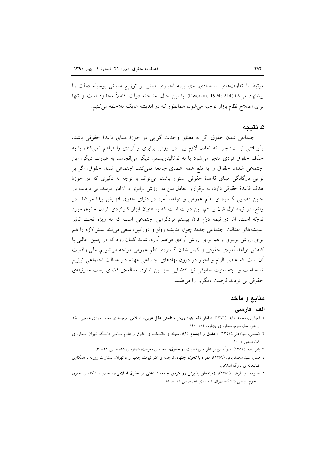مرتبط با تفاوتهای استعدادی، وی بیمه اجباری مبتنی بر توزیع مالیاتی بوسیله دولت را ييشنهاد مي كند(Dworkin, 1994: 214). با اين حال، مداخله دولت كاملاً محدود است و تنها برای اصلاح نظام بازار توجیه میشود؛ همانطور که در اندیشه هایک ملاحظه میکنیم.

## ۵. نتىجە

اجتماعی شدن حقوق اگر به معنای وحدت گرایی در حوزهٔ مبنای قاعدهٔ حقوقی باشد، پذیرفتنی نیست؛ چرا که تعادل لازم بین دو ارزش برابری و آزادی را فراهم نمی کند؛ یا به حذف حقوق فردي منجر مي شود يا به توتاليتاريسمي ديگر مي(نجامد. به عبارت ديگر، اين اجتماعی شدن، حقوق را به نفع همه اعضای جامعه نمیکند. اجتماعی شدن حقوق، اگر بر نوعی دوگانگی مبنای قاعدهٔ حقوقی استوار باشد، میتواند با توجّه به تأثیری که در حوزهٔ هدف قاعدهٔ حقوقی دارد، به برقراری تعادل بین دو ارزش برابری و آزادی برسد. بی تردید، در چنین فضایی گستره ی نظم عمومی و قواعد آمره در دنیای حقوق افزایش پیدا می کند. در واقع، در نیمه اول قرن بیستم، این دولت است که به عنوان ابزار کارکردی کردن حقوق مورد توجّه است. امّا در نیمه دوّم قرن بیستم فردگرایی اجتماعی است که به ویژه تحت تأثیر اندیشههای عدالت اجتماعی جدید چون اندیشه رولز و دورکین، سعی می کند بستر لازم را هم برای ارزش برابری و هم برای ارزش آزادی فراهم آورد. شاید گمان رود که در چنین حالتی با کاهش قواعد اَمرهي حقوقي و کمتر شدن گسترهي نظم عمومي مواجه مي شويم. ولي واقعيت آن است که عنصر الزام و اجبار در درون نهادهای اجتماعی عهده دار عدالت اجتماعی توزیع شده است و البته امنیت حقوقی نیز اقتضایی جز این ندارد. مطالعهی فضای پست مدرنیتهی حقوقي بي ترديد فرصت ديگري را مي طلبد.

## منابع و مآخذ

### الف– فارسى

- ۱. الجابری، محمد عابد، (۱۳۷٦)، «**دانش فقه، بنیاد روش شناختی عقل عربی- اسلامی**، ترجمه ی محمد مهدی خلجی، نقد و نظر، سال سوم، شماره ی چهارم، ۱۱٤-۱٤۰.
- ۲. الماسی، نجادعلی،(١٣٥٤)، «**حقوق و اجتماع (١**)»، مجله ی دانشکده ی حقوق و علوم سیاسی دانشگاه تهران، شماره ی ۱۸، صص ۱-۱۰.
	- ۳. باقر زاده، (۱۳۸۱)، «**درآمدی بر نظریه ی نسبیت در حقوق**»، مجله ی معرفت، شماره ی ۵۸، صص ۲۲-۳۰.
- ٤. صدر، سید محمد باقر، (١٣٥٩)، همراه با تحوّل اجتهاد، ترجمه ی اکبر ثبوت، چاپ اول، تهران: انتشارات روزبه با همکاری کتابخانه ي بزرگ اسلامي.
- ۵. علیزاده، عبدالرضا، (۱۳۸٤)، «**زمینههای پذیرش رویکردی جامعه شناخت**ی **در حقوق اسلام**ی»، مجلهی دانشکده ی حقوق و علوم سیاسی دانشگاه تهران، شماره ی ۲۸، صص ۱۱۵–۱۵۲.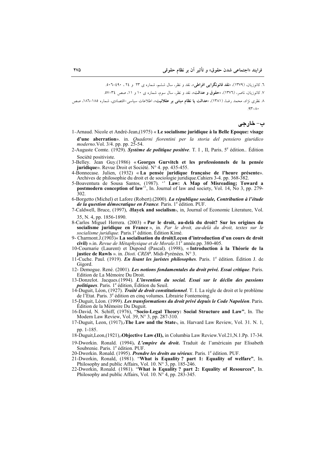٦. کاتوزیان، (١٣٧٩)، «**نقد قانونگرایی افراطی**»، نقد و نظر، سال ششم، شماره ی ۲۳ و ۲۵ ، ٤٩٠–٥٠٦.

۷. کاتوزیان، ناصر، (۱۳۷٦)، «**حقوق و عدالت**»، نقد و نظر، سال سوم، شماره ی ۱۰ و ۱۱، صص ۳٤–۵۷.

۸ نظری نژاد، محمد رضا، (۱۳۸۱)، «**عدالت یا نظام مبتنی بر عقلانیت**»، اطلاعات سیاسی⊣قتصادی، شماره ۱۸۵−۱۸۲، صص  $.97 - A$ 

# **ب- خارجي**

- 1-Arnaud. Nicole et André-Jean,(1975) « **Le socialisme juridique à la Belle Epoque: visage d'une aberration**». in. *Quaderni fiorentini per la storia del pensiero giuridico moderno*.Vol. 3/4. pp. pp. 25-54.
- 2-Auguste Comte. (1929). *Système de politique positive*. T. I, II, Paris, 5<sup>e</sup> édition.. Édition Société positiviste.
- 3-Belley. Jean Guy.(1986) « **Georges Gurvitch et les professionnels de la pensée juridique**». Revue Droit et Société. N° 4. pp. 435-455.
- 4-Bonnecase. Julien, (1932) « **La pensée juridique française de l'heure présente**». Archives de philosophie du droit et de sociologie juridique.Cahiers 3-4. pp. 368-382.
- 5-Boaventura de Sousa Santos, (1987). '' **Law: A Map of Misreading; Toward a postmodern conception of law**<sup>35</sup>, In. Journal of law and society, Vol. 14, No 3, pp. 279-302.

6-Borgetto (Michel) et Lafore (Robert).(2000). *La république sociale, Contribution à l'étude de la question démocratique en France.* Paris. 1<sup>e</sup> édition. PUF.

7-Caldwell, Bruce, (1997), «**Hayek and socialism**», in, Journal of Economic Literature, Vol. 35, N. 4, pp. 1856-1890.

8-Carlos Miguel Herrera. (2003) « **Par le droit, au-delà du droit? Sur les origines du socialisme juridique en France** », in. *Par le droit, au-delà du droit, textes sur le socialisme juridique.* Paris.1<sup>e</sup> édition. Édition Kimé.

9- Charmont.J.(1903)« **La socialisation du droit(Leçon d'introduction d'un cours de droit civil)** ».in. *Revue de Métaphysique et de Morale*.11<sup>e</sup> année.pp. 380-405.

10-Cournarie (Laurent) et Dupond (Pascal). (1998), « **Introduction à la Théorie de la justice de Rawls** ». in. *Dioti. CRDP*. Midi-Pyrénées. N° 3.

- 11-Cuche. Paul. (1919). *En lisant les juristes philosophes*. Paris. 1<sup>e</sup> édition. Édition J. de Gigord.
- 12- Demogue. René. (2001). *Les notions fondamentales du droit privé. Essai critique*. Paris. Edition de La Mémoire Du Droit.

13-Donzelot. Jacques.(1994). *L'invention du social. Essai sur le déclin des passions politiques*. Paris. 1<sup>e</sup> édition, Édition du Seuil.

14-Duguit, Léon, (1927). *Traité de droit constitutionnel*. T. I. La règle de droit et le problème de l'Etat. Paris. 3<sup>e</sup> édition en cinq volumes. Librairie Fontemoing.

15-Duguit, Léon. (1999). *Les transformations du droit privé depuis le Code Napoléon*. Paris. Édition de la Mémoire Du Duguit.

16-David, N. Schiff, (1976), "**Socio-Legal Theory: Social Structure and Law"**, In. The Modern Law Review, Vol. 39, N° 3, pp. 287-310.

17-Duguit, Leon, (1917),«**The Law and the State**», in. Harvard Law Review, Vol. 31. N. 1, pp. 1-185.

18-Duguit,Leon,(1921),«**Objective Law»(II),** in Columbia Law Review.Vol.21,N.1.Pp. 17-34.

19-Dworkin. Ronald. (1994)**.** *L'empire du droit***.** Traduit de l'américain par Elisabeth Soubrenie. Paris. 1<sup>e</sup> édition. PUF

20-Dworkin. Ronald. (1995). *Prendre les droits au sérieux*. Paris. 1<sup>e</sup> édition. PUF.

21-Dworkin, Ronald, (1981). "**What is Equality ? part 1: Equality of welfare"**, In. Philosophy and public Affairs, Vol. 10.  $N^{\circ}$  3, pp. 185-246.

22-Dworkin, Ronald. (1981). "**What is Equality ? part 2: Equality of Resources"**, In. Philosophy and public Affairs, Vol. 10.  $N^{\circ}$ 4, pp. 283-345.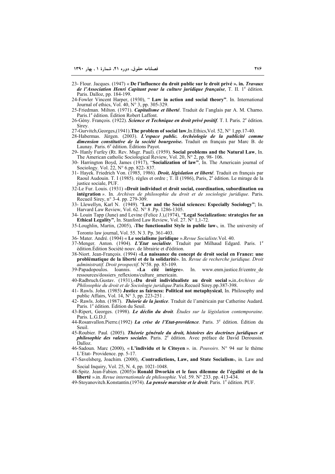- 23- Flour. Jacques. (1947) « **De l'influence du droit public sur le droit privé ». in.** *Travaux de l'Association Henri Capitant pour la culture juridique française*, T. II. 1<sup>e</sup> édition. Paris. Dalloz, pp. 184-199.
- 24-Fowler Vincent Harper, (1930), " **Law in action and social theory"**. In. International Journal of ethics, Vol. 40, N° 3, pp. 305-329.
- 25-Friedman. Milton. (1971). *Capitalisme et liberté*. Traduit de l'anglais par A. M. Charno. Paris.<sup>1e</sup> édition. Édition Robert Laffont.
- 26-Gény. François. (1922). *Science et Technique en droit privé positif*. T. I. Paris. 2<sup>e</sup> édition. Sirey.
- 27-Gurvitch,Georges,(1941).**The problem of social law**,In.Ethics,Vol. 52, N° 1,pp.17-40.
- 28-Habermas. Jürgen. (2003). *L'espace public. Archéologie de la publicité comme dimension constitutive de la société bourgeoise***.** Traduit en français par Marc B. de Launay. Paris.  $6^e$  édition. Éditions Payot.
- 29- Hanly Furfey (Rt. Rev. Msgr. Paul). (1959). **Social problems and the Natural Law**, In. The American catholic Sociological Review, Vol. 20, N° 2, pp. 98- 106.
- 30- Harrington Boyd, James (1917), "**Socialization of law"**, In. The Americain journal of Sociology. Vol. 22, N° 6.pp. 822-837.
- 31- Hayek. Friedrich Von. (1985, 1986). *Droit, législation et liberté*. Traduit en français par Raoul Audouin. T. I (1985). règles et ordre ; T. II (1986), Paris, 2e édition. Le mirage de la justice sociale, PUF.
- 32-Le Fur. Louis. (1931) «**Droit individuel et droit social, coordination, subordination ou intégration** *»*. In. *Archives de philosophie du droit et de sociologie juridique*. Paris. Recueil Sirey, n° 3-4. pp. 279-309.
- 33- Llewellyn, Karl N. (1949). "**Law and the Social sciences: Especially Sociology"**; In. Harvard Law Review, Vol. 62. N° 8 .Pp. 1286-1305.
- 34- Louin Tapp (June) and Levine (Felice J.),(1974), "**Legal Socialization: strategies for an Ethical Legality"**, In. Stanford Law Review, Vol. 27. N° 1,1-72.
- 35-Loughlin, Martin, (2005), «**The functionalist Style in public law**», in. The university of Toronto law journal, Vol. 55. N 3. Pp. 361-403.
- 36- Mater. André. (1904) « **Le socialisme juridique** ».*Revue Socialiste*.Vol. 40.
- 37-Menger. Anton. (1904). *L'Etat socialiste*. Traduit par Milhaud Edgard. Paris. 1<sup>e</sup> édition.Édition Société nouv. de librairie et d'édition.
- 38-Niort. Jean-François. (1994) «**La naissance du concept de droit social en France: une problématique de la liberté et de la solidarité**». In. *Revue de recherche juridique. Droit administratif. Droit prospectif*. N°58. pp. 85-109.
- 39-Papadopoulos. Ioannis. «**La cité intègre**». In. www.enm.justice.fr/centre\_de ressources/dossiers\_reflexions/culture\_americain.

40-Radbruch.Gustav. (1931),«**Du droit individualiste au droit social ».**in.*Archives de Philosophie du droit et de Sociologie juridique*.Paris.Recueil Sirey.pp.387-398.

- 41- Rawls. John. (1985) **Justice as fairness: Political not metaphysical**, In. Philosophy and public Affairs, Vol. 14,  $N^{\circ}$  3, pp. 223-251
- 42- Rawls. John. (1987). *Théorie de la justice*. Traduit de l'américain par Catherine Audard. Paris. 1<sup>e</sup> édition. Édition du Seuil.
- 43-Ripert, Georges. (1998). *Le déclin du droit. Études sur la législation contemporaine*. Paris. L.G.D.J.
- 44-Rosanvallon.Pierre.(1992) *La crise de l'Etat-providence*. Paris. 3<sup>e</sup> édition. Édition du Seuil.
- 45-Roubier. Paul*.* (2005). *Théorie générale du droit, histoires des doctrines juridiques et philosophie des valeurs sociales.* Paris. 2<sup>e</sup> édition. Avec préface de David Deroussin. Dalloz.
- 46-Sadoun. Marc (2000), « **L'individu et le Citoyen** ». in. *Pouvoirs*. N° 94 sur le thème L'Etat- Providence. pp. 5-17.
- 47-Savelsberg, Joachim. (2000), «**Contradictions, Law, and State Socialism**», in. Law and Social Inquiry, Vol. 25, N. 4, pp. 1021-1048.
- 48-Spitz. Jean-Fabien. (2005)« **Ronald Dworkin et le faux dilemme de l'égalité et de la liberté** ».in. *Revue internationale de philosophie.* Vol. 59. N° 233. pp. 413-434.
- 49-Stoyanovitch.Konstantin.(1974). *La pensée marxiste et le droit*. Paris. 1<sup>e</sup> édition. PUF.